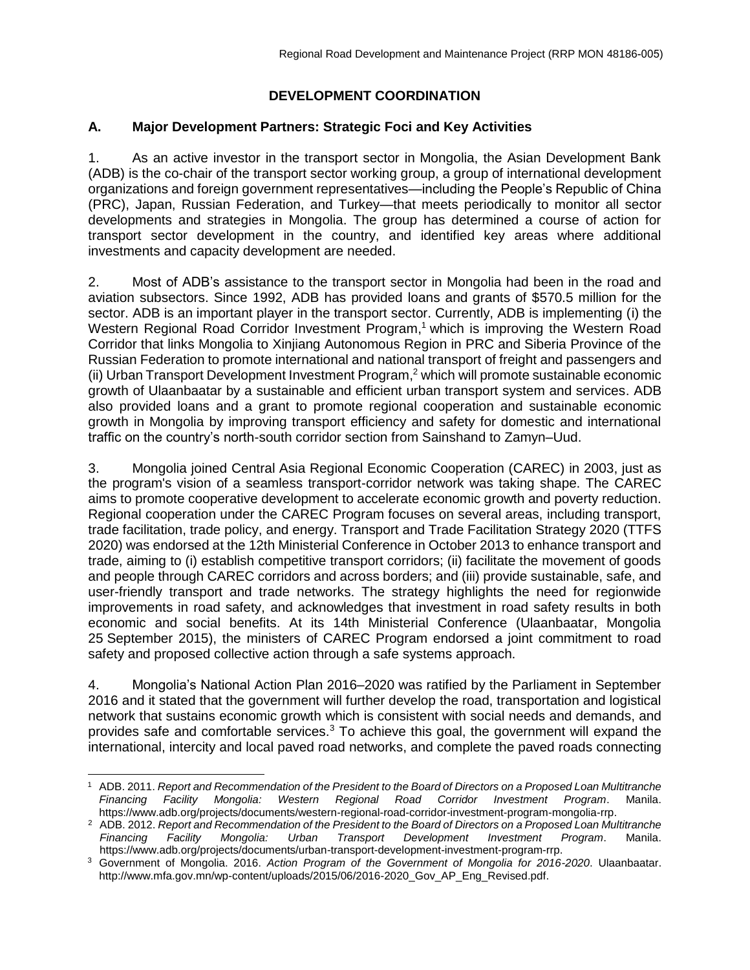# **DEVELOPMENT COORDINATION**

## **A. Major Development Partners: Strategic Foci and Key Activities**

1. As an active investor in the transport sector in Mongolia, the Asian Development Bank (ADB) is the co-chair of the transport sector working group, a group of international development organizations and foreign government representatives—including the People's Republic of China (PRC), Japan, Russian Federation, and Turkey—that meets periodically to monitor all sector developments and strategies in Mongolia. The group has determined a course of action for transport sector development in the country, and identified key areas where additional investments and capacity development are needed.

2. Most of ADB's assistance to the transport sector in Mongolia had been in the road and aviation subsectors. Since 1992, ADB has provided loans and grants of \$570.5 million for the sector. ADB is an important player in the transport sector. Currently, ADB is implementing (i) the Western Regional Road Corridor Investment Program,<sup>1</sup> which is improving the Western Road Corridor that links Mongolia to Xinjiang Autonomous Region in PRC and Siberia Province of the Russian Federation to promote international and national transport of freight and passengers and (ii) Urban Transport Development Investment Program, <sup>2</sup> which will promote sustainable economic growth of Ulaanbaatar by a sustainable and efficient urban transport system and services. ADB also provided loans and a grant to promote regional cooperation and sustainable economic growth in Mongolia by improving transport efficiency and safety for domestic and international traffic on the country's north-south corridor section from Sainshand to Zamyn–Uud.

3. Mongolia joined Central Asia Regional Economic Cooperation (CAREC) in 2003, just as the program's vision of a seamless transport-corridor network was taking shape. The CAREC aims to promote cooperative development to accelerate economic growth and poverty reduction. Regional cooperation under the CAREC Program focuses on several areas, including transport, trade facilitation, trade policy, and energy. Transport and Trade Facilitation Strategy 2020 (TTFS 2020) was endorsed at the 12th Ministerial Conference in October 2013 to enhance transport and trade, aiming to (i) establish competitive transport corridors; (ii) facilitate the movement of goods and people through CAREC corridors and across borders; and (iii) provide sustainable, safe, and user-friendly transport and trade networks. The strategy highlights the need for regionwide improvements in road safety, and acknowledges that investment in road safety results in both economic and social benefits. At its 14th Ministerial Conference (Ulaanbaatar, Mongolia 25 September 2015), the ministers of CAREC Program endorsed a joint commitment to road safety and proposed collective action through a safe systems approach.

4. Mongolia's National Action Plan 2016–2020 was ratified by the Parliament in September 2016 and it stated that the government will further develop the road, transportation and logistical network that sustains economic growth which is consistent with social needs and demands, and provides safe and comfortable services.<sup>3</sup> To achieve this goal, the government will expand the international, intercity and local paved road networks, and complete the paved roads connecting

<sup>1</sup> ADB. 2011. *Report and Recommendation of the President to the Board of Directors on a Proposed Loan Multitranche Financing Facility Mongolia: Western Regional Road Corridor Investment Program*. Manila. https://www.adb.org/projects/documents/western-regional-road-corridor-investment-program-mongolia-rrp.

<sup>2</sup> ADB. 2012. *Report and Recommendation of the President to the Board of Directors on a Proposed Loan Multitranche Financing Facility Mongolia: Urban Transport Development Investment Program*. Manila. https://www.adb.org/projects/documents/urban-transport-development-investment-program-rrp.

<sup>3</sup> Government of Mongolia. 2016. *Action Program of the Government of Mongolia for 2016-2020*. Ulaanbaatar. http://www.mfa.gov.mn/wp-content/uploads/2015/06/2016-2020\_Gov\_AP\_Eng\_Revised.pdf.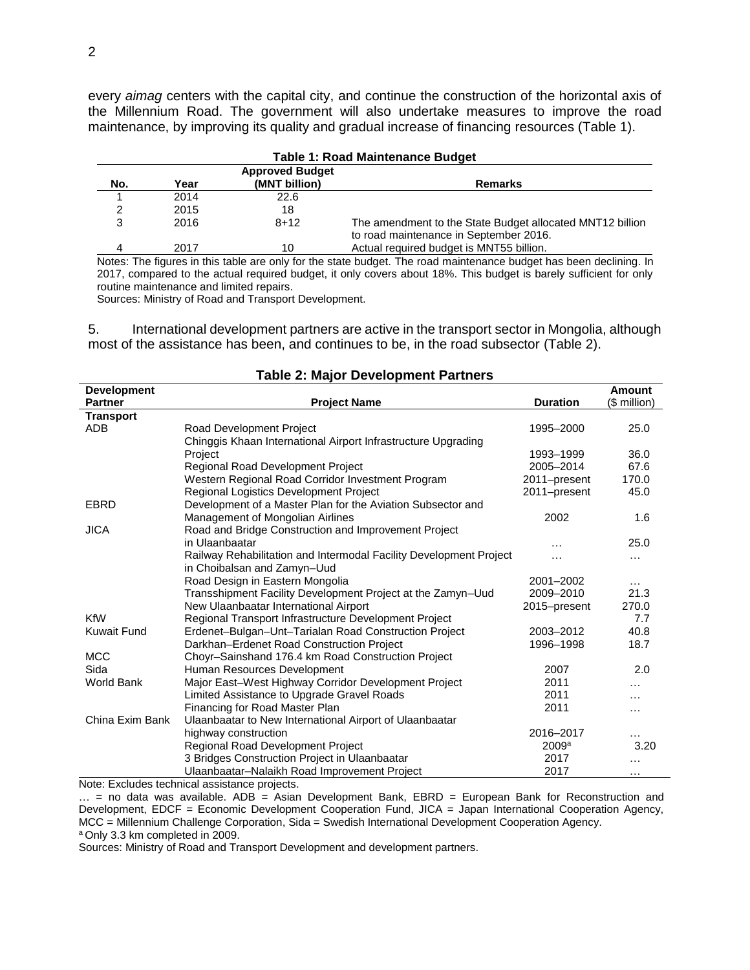every *aimag* centers with the capital city, and continue the construction of the horizontal axis of the Millennium Road. The government will also undertake measures to improve the road maintenance, by improving its quality and gradual increase of financing resources (Table 1).

| <b>Table 1: Road Maintenance Budget</b> |      |               |                                                           |  |  |
|-----------------------------------------|------|---------------|-----------------------------------------------------------|--|--|
| <b>Approved Budget</b>                  |      |               |                                                           |  |  |
| No.                                     | Year | (MNT billion) | <b>Remarks</b>                                            |  |  |
|                                         | 2014 | 22.6          |                                                           |  |  |
|                                         | 2015 | 18            |                                                           |  |  |
| 3                                       | 2016 | $8 + 12$      | The amendment to the State Budget allocated MNT12 billion |  |  |
|                                         |      |               | to road maintenance in September 2016.                    |  |  |
|                                         | 2017 | 10            | Actual required budget is MNT55 billion.                  |  |  |

Notes: The figures in this table are only for the state budget. The road maintenance budget has been declining. In 2017, compared to the actual required budget, it only covers about 18%. This budget is barely sufficient for only routine maintenance and limited repairs.

Sources: Ministry of Road and Transport Development.

5. International development partners are active in the transport sector in Mongolia, although most of the assistance has been, and continues to be, in the road subsector (Table 2).

| <b>Development</b> |                                                                    |                   | <b>Amount</b> |
|--------------------|--------------------------------------------------------------------|-------------------|---------------|
| <b>Partner</b>     | <b>Project Name</b>                                                | <b>Duration</b>   | (\$ million)  |
| <b>Transport</b>   |                                                                    |                   |               |
| <b>ADB</b>         | <b>Road Development Project</b>                                    | 1995-2000         | 25.0          |
|                    | Chinggis Khaan International Airport Infrastructure Upgrading      |                   |               |
|                    | Project                                                            | 1993-1999         | 36.0          |
|                    | Regional Road Development Project                                  | 2005-2014         | 67.6          |
|                    | Western Regional Road Corridor Investment Program                  | 2011-present      | 170.0         |
|                    | Regional Logistics Development Project                             | 2011-present      | 45.0          |
| <b>EBRD</b>        | Development of a Master Plan for the Aviation Subsector and        |                   |               |
|                    | Management of Mongolian Airlines                                   | 2002              | 1.6           |
| <b>JICA</b>        | Road and Bridge Construction and Improvement Project               |                   |               |
|                    | in Ulaanbaatar                                                     |                   | 25.0          |
|                    | Railway Rehabilitation and Intermodal Facility Development Project |                   | $\cdots$      |
|                    | in Choibalsan and Zamyn-Uud                                        |                   |               |
|                    | Road Design in Eastern Mongolia                                    | 2001-2002         | $\cdots$      |
|                    | Transshipment Facility Development Project at the Zamyn-Uud        | 2009-2010         | 21.3          |
|                    | New Ulaanbaatar International Airport                              | 2015-present      | 270.0         |
| <b>KfW</b>         | Regional Transport Infrastructure Development Project              |                   | 7.7           |
| <b>Kuwait Fund</b> | Erdenet-Bulgan-Unt-Tarialan Road Construction Project              | 2003-2012         | 40.8          |
|                    | Darkhan-Erdenet Road Construction Project                          | 1996-1998         | 18.7          |
| <b>MCC</b>         | Choyr-Sainshand 176.4 km Road Construction Project                 |                   |               |
| Sida               | Human Resources Development                                        | 2007              | 2.0           |
| <b>World Bank</b>  | Major East-West Highway Corridor Development Project               | 2011              |               |
|                    | Limited Assistance to Upgrade Gravel Roads                         | 2011              | .             |
|                    | Financing for Road Master Plan                                     | 2011              | .             |
| China Exim Bank    | Ulaanbaatar to New International Airport of Ulaanbaatar            |                   |               |
|                    | highway construction                                               | 2016-2017         | $\cdots$      |
|                    | Regional Road Development Project                                  | 2009 <sup>a</sup> | 3.20          |
|                    | 3 Bridges Construction Project in Ulaanbaatar                      | 2017              |               |
|                    | Ulaanbaatar–Nalaikh Road Improvement Project                       | 2017              | $\cdots$      |

#### **Table 2: Major Development Partners**

Note: Excludes technical assistance projects.

 $\ldots$  = no data was available. ADB = Asian Development Bank, EBRD = European Bank for Reconstruction and Development, EDCF = Economic Development Cooperation Fund, JICA = Japan International Cooperation Agency, MCC = Millennium Challenge Corporation, Sida = Swedish International Development Cooperation Agency. <sup>a</sup> Only 3.3 km completed in 2009.

Sources: Ministry of Road and Transport Development and development partners.